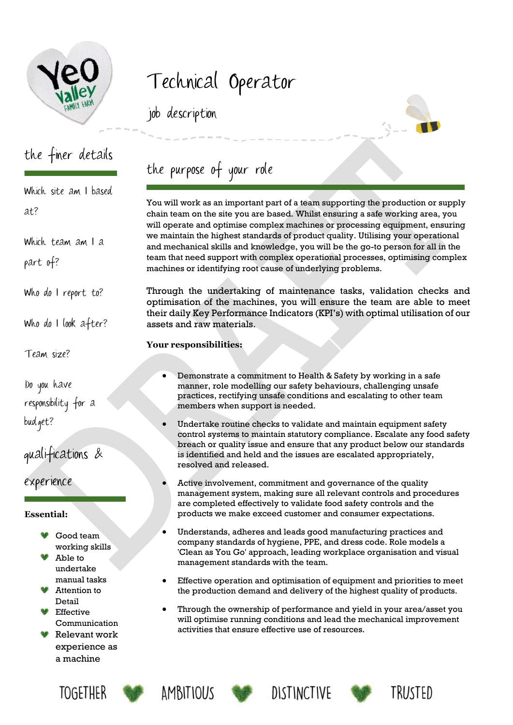

# Technical Operator

job description

## the finer details

Which site am I based at?

Which team am I a

part of?

Who do I report to?

Who do I look after?

Team size?

Do you have responsibility for a budget?

qualifications &

experience

#### **Essential:**

- Good team working skills
- Able to undertake manual tasks
- Attention to Detail
- Effective Communication
- Relevant work experience as a machine



the purpose of your role

You will work as an important part of a team supporting the production or supply chain team on the site you are based. Whilst ensuring a safe working area, you will operate and optimise complex machines or processing equipment, ensuring we maintain the highest standards of product quality. Utilising your operational and mechanical skills and knowledge, you will be the go-to person for all in the team that need support with complex operational processes, optimising complex machines or identifying root cause of underlying problems.

Through the undertaking of maintenance tasks, validation checks and optimisation of the machines, you will ensure the team are able to meet their daily Key Performance Indicators (KPI's) with optimal utilisation of our assets and raw materials.

### **Your responsibilities:**

- Demonstrate a commitment to Health & Safety by working in a safe manner, role modelling our safety behaviours, challenging unsafe practices, rectifying unsafe conditions and escalating to other team members when support is needed.
- Undertake routine checks to validate and maintain equipment safety control systems to maintain statutory compliance. Escalate any food safety breach or quality issue and ensure that any product below our standards is identified and held and the issues are escalated appropriately, resolved and released.
- Active involvement, commitment and governance of the quality management system, making sure all relevant controls and procedures are completed effectively to validate food safety controls and the products we make exceed customer and consumer expectations.
- Understands, adheres and leads good manufacturing practices and company standards of hygiene, PPE, and dress code. Role models a 'Clean as You Go' approach, leading workplace organisation and visual management standards with the team.
- Effective operation and optimisation of equipment and priorities to meet the production demand and delivery of the highest quality of products.
- Through the ownership of performance and yield in your area/asset you will optimise running conditions and lead the mechanical improvement activities that ensure effective use of resources.







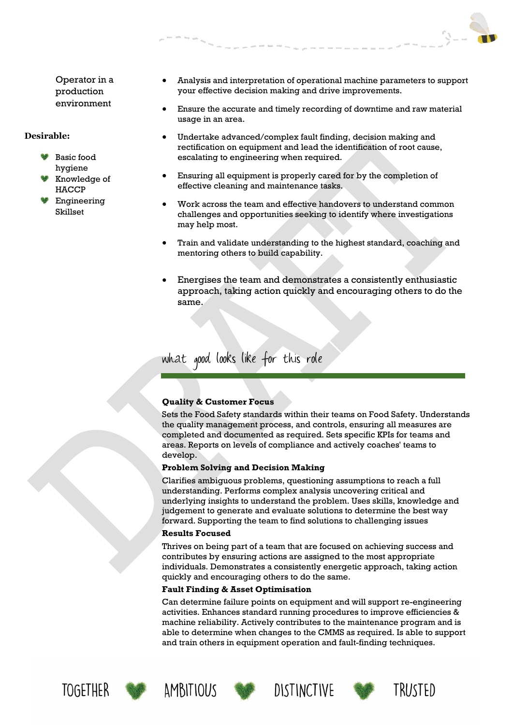Operator in a production environment

#### **Desirable:**

- Basic food hygiene
- Knowledge of HACCP
- Engineering Skillset
- Analysis and interpretation of operational machine parameters to support your effective decision making and drive improvements.
- Ensure the accurate and timely recording of downtime and raw material usage in an area.
- Undertake advanced/complex fault finding, decision making and rectification on equipment and lead the identification of root cause, escalating to engineering when required.
- Ensuring all equipment is properly cared for by the completion of effective cleaning and maintenance tasks.
- Work across the team and effective handovers to understand common challenges and opportunities seeking to identify where investigations may help most.
- Train and validate understanding to the highest standard, coaching and mentoring others to build capability.
- Energises the team and demonstrates a consistently enthusiastic approach, taking action quickly and encouraging others to do the same.

what good looks like for this role

#### **Quality & Customer Focus**

Sets the Food Safety standards within their teams on Food Safety. Understands the quality management process, and controls, ensuring all measures are completed and documented as required. Sets specific KPIs for teams and areas. Reports on levels of compliance and actively coaches' teams to develop.

#### **Problem Solving and Decision Making**

Clarifies ambiguous problems, questioning assumptions to reach a full understanding. Performs complex analysis uncovering critical and underlying insights to understand the problem. Uses skills, knowledge and judgement to generate and evaluate solutions to determine the best way forward. Supporting the team to find solutions to challenging issues

#### **Results Focused**

Thrives on being part of a team that are focused on achieving success and contributes by ensuring actions are assigned to the most appropriate individuals. Demonstrates a consistently energetic approach, taking action quickly and encouraging others to do the same.

#### **Fault Finding & Asset Optimisation**

Can determine failure points on equipment and will support re-engineering activities. Enhances standard running procedures to improve efficiencies & machine reliability. Actively contributes to the maintenance program and is able to determine when changes to the CMMS as required. Is able to support and train others in equipment operation and fault-finding techniques.











TRIJSTED